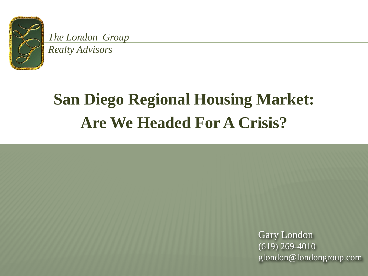

*The London Group* 

*Realty Advisors*

# **San Diego Regional Housing Market: Are We Headed For A Crisis?**

Gary London (619) 269-4010 glondon@londongroup.com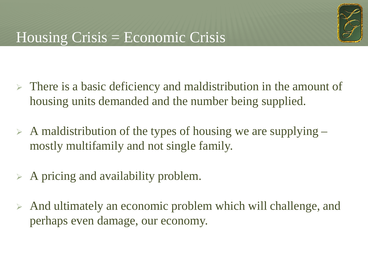

- $\triangleright$  There is a basic deficiency and maldistribution in the amount of housing units demanded and the number being supplied.
- $\triangleright$  A maldistribution of the types of housing we are supplying mostly multifamily and not single family.
- $\triangleright$  A pricing and availability problem.
- And ultimately an economic problem which will challenge, and perhaps even damage, our economy.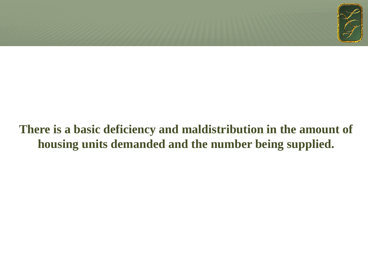

#### **There is a basic deficiency and maldistribution in the amount of housing units demanded and the number being supplied.**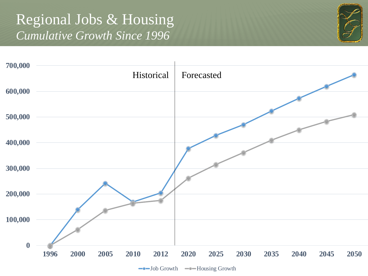#### Regional Jobs & Housing *Cumulative Growth Since 1996*



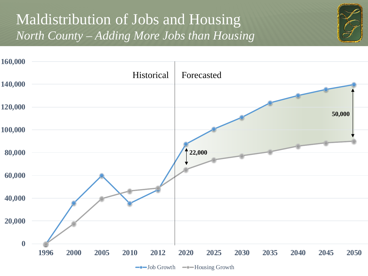## Maldistribution of Jobs and Housing *North County – Adding More Jobs than Housing*



 $\leftarrow$  Job Growth  $\leftarrow$  Housing Growth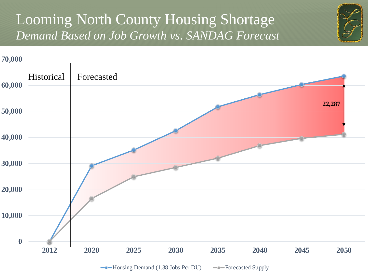#### Looming North County Housing Shortage *Demand Based on Job Growth vs. SANDAG Forecast*



 $\rightarrow$ Housing Demand (1.38 Jobs Per DU)  $\rightarrow$ Forecasted Supply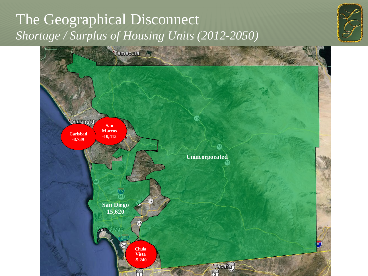## The Geographical Disconnect *Shortage / Surplus of Housing Units (2012-2050)*



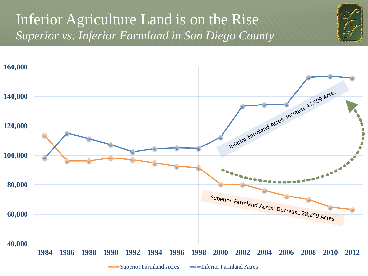## Inferior Agriculture Land is on the Rise *Superior vs. Inferior Farmland in San Diego County*



<sup>-</sup>Superior Farmland Acres -- Inferior Farmland Acres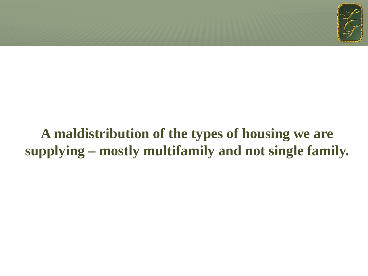

## **A maldistribution of the types of housing we are supplying – mostly multifamily and not single family.**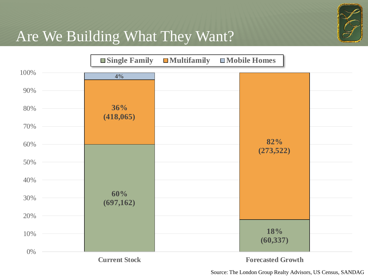

## Are We Building What They Want?



Source: The London Group Realty Advisors, US Census, SANDAG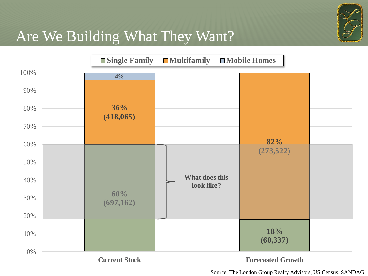

## Are We Building What They Want?



Source: The London Group Realty Advisors, US Census, SANDAG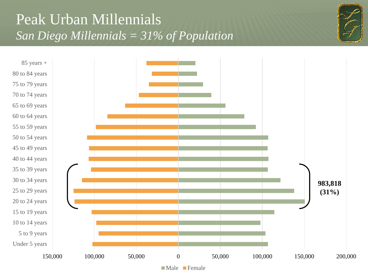## Peak Urban Millennials *San Diego Millennials = 31% of Population*



 Under 5 years 5 to 9 years 10 to 14 years 15 to 19 years 20 to 24 years 25 to 29 years 30 to 34 years 35 to 39 years 40 to 44 years 45 to 49 years 50 to 54 years 55 to 59 years 60 to 64 years 65 to 69 years 70 to 74 years 75 to 79 years 80 to 84 years

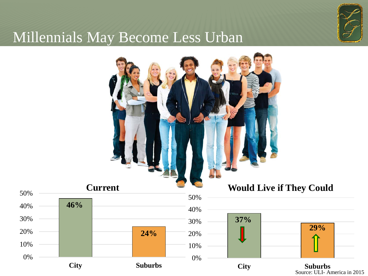

#### Millennials May Become Less Urban

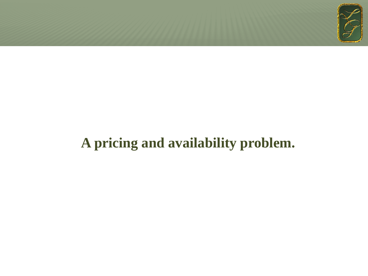

## **A pricing and availability problem.**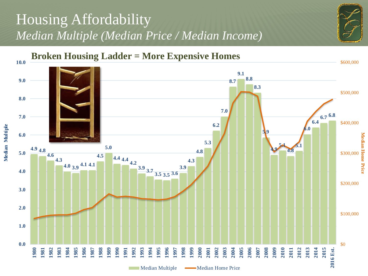## Housing Affordability *Median Multiple (Median Price / Median Income)*



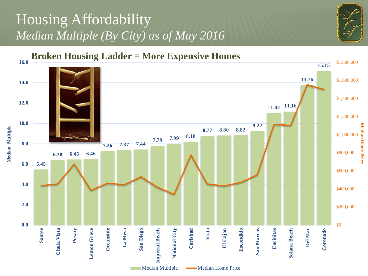## Housing Affordability *Median Multiple (By City) as of May 2016*



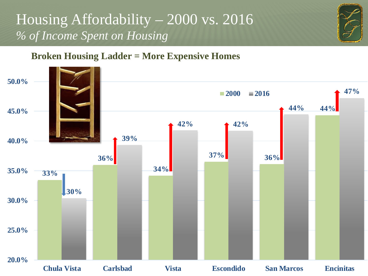## Housing Affordability – 2000 vs. 2016 *% of Income Spent on Housing*



#### **Broken Housing Ladder = More Expensive Homes**

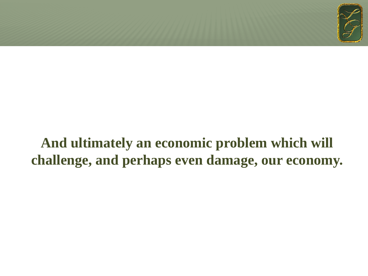

## **And ultimately an economic problem which will challenge, and perhaps even damage, our economy.**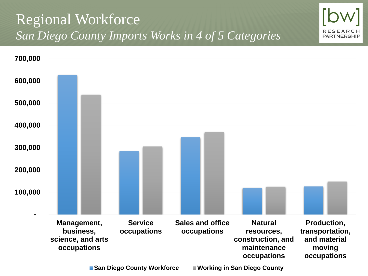## Regional Workforce *San Diego County Imports Works in 4 of 5 Categories*



**RESEA PARTNERSHIP** 

■ San Diego County Workforce ■ Working in San Diego County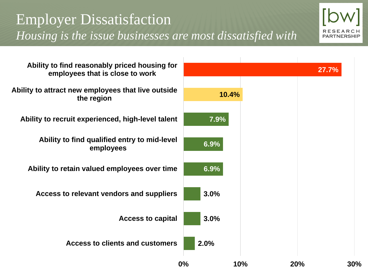## Employer Dissatisfaction *Housing is the issue businesses are most dissatisfied with*



**3.0% 3.0% 6.9% 6.9% Access to clients and customers Access to capital Access to relevant vendors and suppliers Ability to retain valued employees over time Ability to find qualified entry to mid-level employees Ability to recruit experienced, high-level talent Ability to attract new employees that live outside the region Ability to find reasonably priced housing for employees that is close to work**

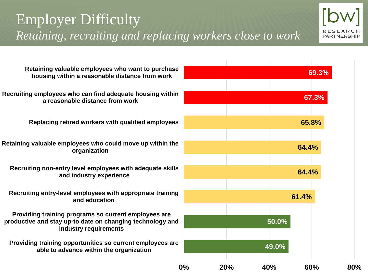## Employer Difficulty *Retaining, recruiting and replacing workers close to work*



**Retaining valuable employees who want to purchase housing within a reasonable distance from work**

**Recruiting employees who can find adequate housing within a reasonable distance from work**

**Replacing retired workers with qualified employees**

**Retaining valuable employees who could move up within the organization**

**Recruiting non-entry level employees with adequate skills and industry experience**

**Recruiting entry-level employees with appropriate training and education**

**Providing training programs so current employees are productive and stay up-to date on changing technology and industry requirements**

**Providing training opportunities so current employees are able to advance within the organization**

|    |     |       | 69.3% |     |
|----|-----|-------|-------|-----|
|    |     |       |       |     |
|    |     |       | 67.3% |     |
|    |     |       |       |     |
|    |     |       | 65.8% |     |
|    |     |       |       |     |
|    |     |       | 64.4% |     |
|    |     |       |       |     |
|    |     |       | 64.4% |     |
|    |     |       |       |     |
|    |     |       | 61.4% |     |
|    |     |       |       |     |
|    |     | 50.0% |       |     |
|    |     |       |       |     |
|    |     | 49.0% |       |     |
| 0% | 20% | 40%   | 60%   | 80% |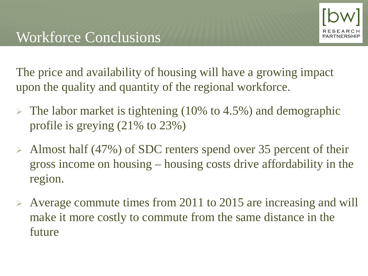The price and availability of housing will have a growing impact upon the quality and quantity of the regional workforce.

- $\triangleright$  The labor market is tightening (10% to 4.5%) and demographic profile is greying (21% to 23%)
- $\triangleright$  Almost half (47%) of SDC renters spend over 35 percent of their gross income on housing – housing costs drive affordability in the region.
- Average commute times from 2011 to 2015 are increasing and will make it more costly to commute from the same distance in the future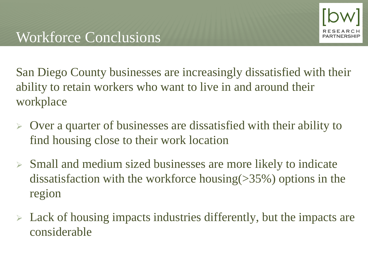San Diego County businesses are increasingly dissatisfied with their ability to retain workers who want to live in and around their workplace

- $\triangleright$  Over a quarter of businesses are dissatisfied with their ability to find housing close to their work location
- $\triangleright$  Small and medium sized businesses are more likely to indicate dissatisfaction with the workforce housing(>35%) options in the region
- $\triangleright$  Lack of housing impacts industries differently, but the impacts are considerable